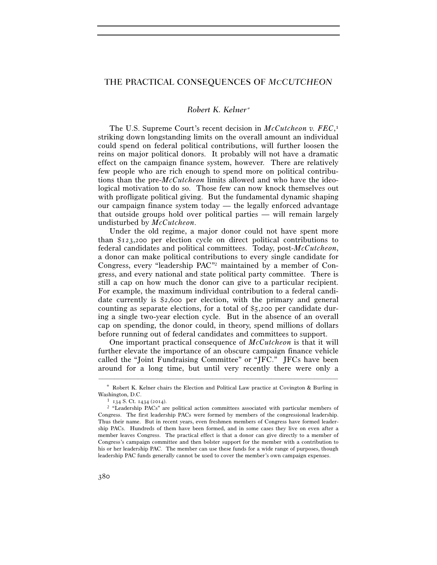## THE PRACTICAL CONSEQUENCES OF *MCCUTCHEON*

## *Robert K. Kelner*<sup>∗</sup>

The U.S. Supreme Court's recent decision in *McCutcheon v. FEC*, 1 striking down longstanding limits on the overall amount an individual could spend on federal political contributions, will further loosen the reins on major political donors. It probably will not have a dramatic effect on the campaign finance system, however. There are relatively few people who are rich enough to spend more on political contributions than the pre-*McCutcheon* limits allowed and who have the ideological motivation to do so. Those few can now knock themselves out with profligate political giving. But the fundamental dynamic shaping our campaign finance system today — the legally enforced advantage that outside groups hold over political parties — will remain largely undisturbed by *McCutcheon*.

Under the old regime, a major donor could not have spent more than \$123,200 per election cycle on direct political contributions to federal candidates and political committees. Today, post-*McCutcheon*, a donor can make political contributions to every single candidate for Congress, every "leadership PAC"2 maintained by a member of Congress, and every national and state political party committee. There is still a cap on how much the donor can give to a particular recipient. For example, the maximum individual contribution to a federal candidate currently is \$2,600 per election, with the primary and general counting as separate elections, for a total of \$5,200 per candidate during a single two-year election cycle. But in the absence of an overall cap on spending, the donor could, in theory, spend millions of dollars before running out of federal candidates and committees to support.

One important practical consequence of *McCutcheon* is that it will further elevate the importance of an obscure campaign finance vehicle called the "Joint Fundraising Committee" or "JFC." JFCs have been around for a long time, but until very recently there were only a

<sup>–––––––––––––––––––––––––––––––––––––––––––––––––––––––––––––</sup> ∗ Robert K. Kelner chairs the Election and Political Law practice at Covington & Burling in Washington, D.C.<br><sup>1</sup> 134 S. Ct. 1434 (2014).<br><sup>2</sup> "Leadership PACs" are political action committees associated with particular members of

Congress. The first leadership PACs were formed by members of the congressional leadership. Thus their name. But in recent years, even freshmen members of Congress have formed leadership PACs. Hundreds of them have been formed, and in some cases they live on even after a member leaves Congress. The practical effect is that a donor can give directly to a member of Congress's campaign committee and then bolster support for the member with a contribution to his or her leadership PAC. The member can use these funds for a wide range of purposes, though leadership PAC funds generally cannot be used to cover the member's own campaign expenses.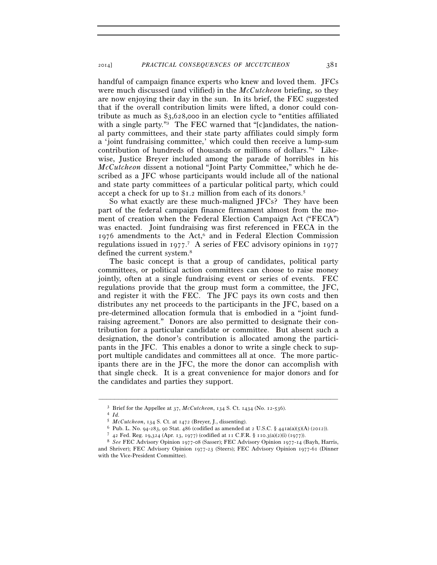handful of campaign finance experts who knew and loved them. JFCs were much discussed (and vilified) in the *McCutcheon* briefing, so they are now enjoying their day in the sun. In its brief, the FEC suggested that if the overall contribution limits were lifted, a donor could contribute as much as \$3,628,000 in an election cycle to "entities affiliated with a single party."<sup>3</sup> The FEC warned that "[c]andidates, the national party committees, and their state party affiliates could simply form a 'joint fundraising committee,' which could then receive a lump-sum contribution of hundreds of thousands or millions of dollars."4 Likewise, Justice Breyer included among the parade of horribles in his *McCutcheon* dissent a notional "Joint Party Committee," which he described as a JFC whose participants would include all of the national and state party committees of a particular political party, which could accept a check for up to \$1.2 million from each of its donors.5

So what exactly are these much-maligned JFCs? They have been part of the federal campaign finance firmament almost from the moment of creation when the Federal Election Campaign Act ("FECA") was enacted. Joint fundraising was first referenced in FECA in the 1976 amendments to the Act,<sup>6</sup> and in Federal Election Commission regulations issued in 1977. 7 A series of FEC advisory opinions in 1977 defined the current system.<sup>8</sup>

The basic concept is that a group of candidates, political party committees, or political action committees can choose to raise money jointly, often at a single fundraising event or series of events. FEC regulations provide that the group must form a committee, the JFC, and register it with the FEC. The JFC pays its own costs and then distributes any net proceeds to the participants in the JFC, based on a pre-determined allocation formula that is embodied in a "joint fundraising agreement." Donors are also permitted to designate their contribution for a particular candidate or committee. But absent such a designation, the donor's contribution is allocated among the participants in the JFC. This enables a donor to write a single check to support multiple candidates and committees all at once. The more participants there are in the JFC, the more the donor can accomplish with that single check. It is a great convenience for major donors and for the candidates and parties they support.

–––––––––––––––––––––––––––––––––––––––––––––––––––––––––––––

 $^3$  Brief for the Appellee at  $37, \textit{McCutcheon}$  ,  $134$  S. Ct. 1434 (No. 12-536).  $^4$   $\emph{Id.}$ 

<sup>% 5</sup> McCutcheon, 134 S. Ct. at 1472 (Breyer, J., dissenting).<br>
6 Pub. L. No. 94-283, 90 Stat. 486 (codified as amended at 2 U.S.C. § 441a(a)(5)(A) (2012)).<br>
7 42 Fed. Reg. 19,324 (Apr. 13, 1977) (codified at 11 C.F.R. § 11 and Shriver); FEC Advisory Opinion 1977-23 (Steers); FEC Advisory Opinion 1977-61 (Dinner with the Vice-President Committee).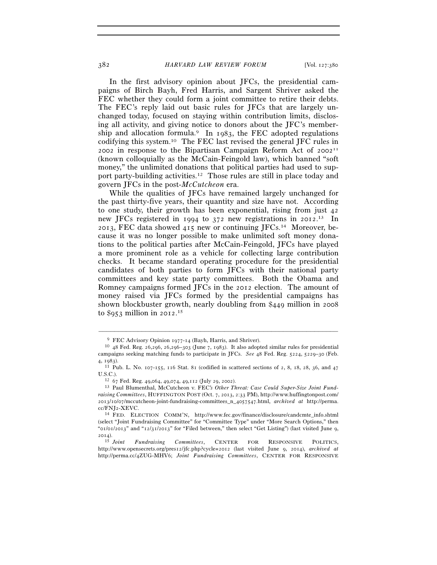In the first advisory opinion about JFCs, the presidential campaigns of Birch Bayh, Fred Harris, and Sargent Shriver asked the FEC whether they could form a joint committee to retire their debts. The FEC's reply laid out basic rules for JFCs that are largely unchanged today, focused on staying within contribution limits, disclosing all activity, and giving notice to donors about the JFC's membership and allocation formula.<sup>9</sup> In 1983, the FEC adopted regulations codifying this system.10 The FEC last revised the general JFC rules in 2002 in response to the Bipartisan Campaign Reform Act of  $2002$ <sup>II</sup> (known colloquially as the McCain-Feingold law), which banned "soft money," the unlimited donations that political parties had used to support party-building activities.12 Those rules are still in place today and govern JFCs in the post-*McCutcheon* era.

While the qualities of JFCs have remained largely unchanged for the past thirty-five years, their quantity and size have not. According to one study, their growth has been exponential, rising from just 42 new JFCs registered in 1994 to 372 new registrations in 2012. 13 In 2013, FEC data showed 415 new or continuing JFCs.14 Moreover, because it was no longer possible to make unlimited soft money donations to the political parties after McCain-Feingold, JFCs have played a more prominent role as a vehicle for collecting large contribution checks. It became standard operating procedure for the presidential candidates of both parties to form JFCs with their national party committees and key state party committees. Both the Obama and Romney campaigns formed JFCs in the 2012 election. The amount of money raised via JFCs formed by the presidential campaigns has shown blockbuster growth, nearly doubling from \$449 million in 2008 to \$953 million in 2012. 15

–––––––––––––––––––––––––––––––––––––––––––––––––––––––––––––

<sup>&</sup>lt;sup>9</sup> FEC Advisory Opinion 1977-14 (Bayh, Harris, and Shriver).<br><sup>10</sup> 48 Fed. Reg. 26,296, 26,296–303 (June 7, 1983). It also adopted similar rules for presidential campaigns seeking matching funds to participate in JFCs. *See* 48 Fed. Reg. 5224, 5229–30 (Feb. <sup>4</sup>, 1983). 11 Pub. L. No. 107-155, 116 Stat. 81 (codified in scattered sections of 2, 8, 18, 28, 36, and <sup>47</sup>

U.S.C.). 12 <sup>67</sup> Fed. Reg. 49,064, 49,074, 49,112 (July 29, 2002). 13 Paul Blumenthal, McCutcheon v. FEC*'s Other Threat: Case Could Super-Size Joint Fund-*

*raising Committees*, HUFFINGTON POST (Oct. 7, 2013, 2:33 PM), http://www.huffingtonpost.com/ 2013/10/07/mccutcheon-joint-fundraising-committees\_n\_4057547.html, *archived at* http://perma. cc/FNJ2-XEVC. 14 FED. ELECTION COMM'N, http://www.fec.gov/finance/disclosure/candcmte\_info.shtml

<sup>(</sup>select "Joint Fundraising Committee" for "Committee Type" under "More Search Options," then " $01/01/2013$ " and " $12/31/2013$ " for "Filed between," then select "Get Listing") (last visited June 9,

 $^{2014)}$ .<br><sup>15</sup> Joint 15 *Joint Fundraising Committees*, CENTER FOR RESPONSIVE POLITICS, http://www.opensecrets.org/pres12/jfc.php?cycle=2012 (last visited June 9, 2014), *archived at*  http://perma.cc/4ZUG-MHV6; *Joint Fundraising Committees*, CENTER FOR RESPONSIVE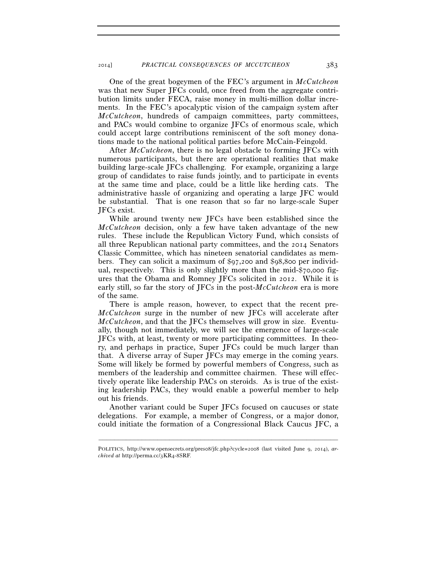One of the great bogeymen of the FEC's argument in *McCutcheon* was that new Super JFCs could, once freed from the aggregate contribution limits under FECA, raise money in multi-million dollar increments. In the FEC's apocalyptic vision of the campaign system after *McCutcheon*, hundreds of campaign committees, party committees, and PACs would combine to organize JFCs of enormous scale, which could accept large contributions reminiscent of the soft money donations made to the national political parties before McCain-Feingold.

After *McCutcheon*, there is no legal obstacle to forming JFCs with numerous participants, but there are operational realities that make building large-scale JFCs challenging. For example, organizing a large group of candidates to raise funds jointly, and to participate in events at the same time and place, could be a little like herding cats. The administrative hassle of organizing and operating a large JFC would be substantial. That is one reason that so far no large-scale Super JFCs exist.

While around twenty new JFCs have been established since the *McCutcheon* decision, only a few have taken advantage of the new rules. These include the Republican Victory Fund, which consists of all three Republican national party committees, and the 2014 Senators Classic Committee, which has nineteen senatorial candidates as members. They can solicit a maximum of \$97,200 and \$98,800 per individual, respectively. This is only slightly more than the mid-\$70,000 figures that the Obama and Romney JFCs solicited in 2012. While it is early still, so far the story of JFCs in the post-*McCutcheon* era is more of the same.

There is ample reason, however, to expect that the recent pre-*McCutcheon* surge in the number of new JFCs will accelerate after *McCutcheon*, and that the JFCs themselves will grow in size. Eventually, though not immediately, we will see the emergence of large-scale JFCs with, at least, twenty or more participating committees. In theory, and perhaps in practice, Super JFCs could be much larger than that. A diverse array of Super JFCs may emerge in the coming years. Some will likely be formed by powerful members of Congress, such as members of the leadership and committee chairmen. These will effectively operate like leadership PACs on steroids. As is true of the existing leadership PACs, they would enable a powerful member to help out his friends.

Another variant could be Super JFCs focused on caucuses or state delegations. For example, a member of Congress, or a major donor, could initiate the formation of a Congressional Black Caucus JFC, a

<sup>–––––––––––––––––––––––––––––––––––––––––––––––––––––––––––––</sup> POLITICS, http://www.opensecrets.org/pres08/jfc.php?cycle=2008 (last visited June 9, 2014), *archived at* http://perma.cc/3KR4-8SRF.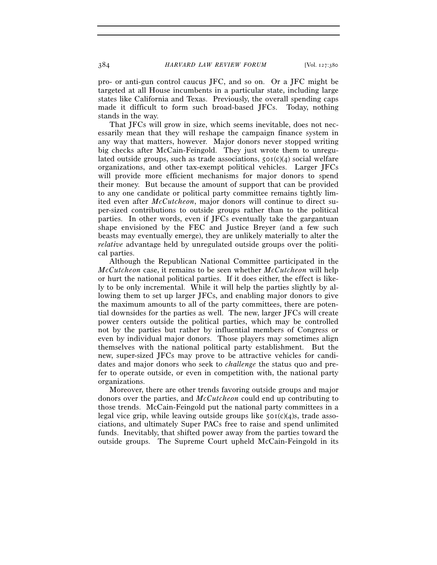pro- or anti-gun control caucus JFC, and so on. Or a JFC might be targeted at all House incumbents in a particular state, including large states like California and Texas. Previously, the overall spending caps made it difficult to form such broad-based JFCs. Today, nothing stands in the way.

That JFCs will grow in size, which seems inevitable, does not necessarily mean that they will reshape the campaign finance system in any way that matters, however. Major donors never stopped writing big checks after McCain-Feingold. They just wrote them to unregulated outside groups, such as trade associations,  $50I(c)(4)$  social welfare organizations, and other tax-exempt political vehicles. Larger JFCs will provide more efficient mechanisms for major donors to spend their money. But because the amount of support that can be provided to any one candidate or political party committee remains tightly limited even after *McCutcheon*, major donors will continue to direct super-sized contributions to outside groups rather than to the political parties. In other words, even if JFCs eventually take the gargantuan shape envisioned by the FEC and Justice Breyer (and a few such beasts may eventually emerge), they are unlikely materially to alter the *relative* advantage held by unregulated outside groups over the political parties.

Although the Republican National Committee participated in the *McCutcheon* case, it remains to be seen whether *McCutcheon* will help or hurt the national political parties. If it does either, the effect is likely to be only incremental. While it will help the parties slightly by allowing them to set up larger JFCs, and enabling major donors to give the maximum amounts to all of the party committees, there are potential downsides for the parties as well. The new, larger JFCs will create power centers outside the political parties, which may be controlled not by the parties but rather by influential members of Congress or even by individual major donors. Those players may sometimes align themselves with the national political party establishment. But the new, super-sized JFCs may prove to be attractive vehicles for candidates and major donors who seek to *challenge* the status quo and prefer to operate outside, or even in competition with, the national party organizations.

Moreover, there are other trends favoring outside groups and major donors over the parties, and *McCutcheon* could end up contributing to those trends. McCain-Feingold put the national party committees in a legal vice grip, while leaving outside groups like  $50I(c)(4)$ s, trade associations, and ultimately Super PACs free to raise and spend unlimited funds. Inevitably, that shifted power away from the parties toward the outside groups. The Supreme Court upheld McCain-Feingold in its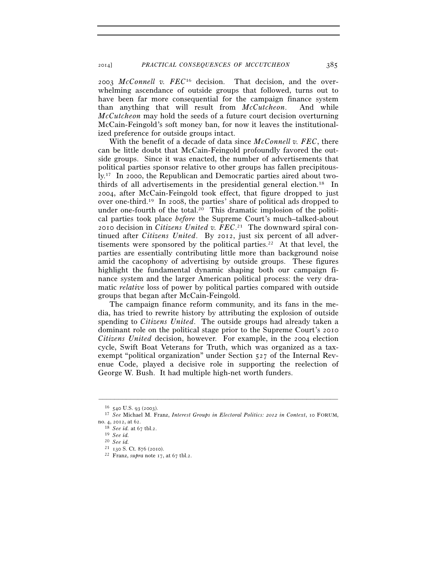2003 *McConnell v. FEC*16 decision. That decision, and the overwhelming ascendance of outside groups that followed, turns out to have been far more consequential for the campaign finance system than anything that will result from *McCutcheon*. And while *McCutcheon* may hold the seeds of a future court decision overturning McCain-Feingold's soft money ban, for now it leaves the institutionalized preference for outside groups intact.

With the benefit of a decade of data since *McConnell v. FEC*, there can be little doubt that McCain-Feingold profoundly favored the outside groups. Since it was enacted, the number of advertisements that political parties sponsor relative to other groups has fallen precipitously.17 In 2000, the Republican and Democratic parties aired about twothirds of all advertisements in the presidential general election.18 In 2004, after McCain-Feingold took effect, that figure dropped to just over one-third.19 In 2008, the parties' share of political ads dropped to under one-fourth of the total.20 This dramatic implosion of the political parties took place *before* the Supreme Court's much–talked-about 2010 decision in *Citizens United v. FEC*. 21 The downward spiral continued after *Citizens United*. By 2012, just six percent of all advertisements were sponsored by the political parties.<sup>22</sup> At that level, the parties are essentially contributing little more than background noise amid the cacophony of advertising by outside groups. These figures highlight the fundamental dynamic shaping both our campaign finance system and the larger American political process: the very dramatic *relative* loss of power by political parties compared with outside groups that began after McCain-Feingold.

The campaign finance reform community, and its fans in the media, has tried to rewrite history by attributing the explosion of outside spending to *Citizens United*. The outside groups had already taken a dominant role on the political stage prior to the Supreme Court's 2010 *Citizens United* decision, however. For example, in the 2004 election cycle, Swift Boat Veterans for Truth, which was organized as a taxexempt "political organization" under Section 527 of the Internal Revenue Code, played a decisive role in supporting the reelection of George W. Bush. It had multiple high-net worth funders.

–––––––––––––––––––––––––––––––––––––––––––––––––––––––––––––

<sup>16</sup> <sup>540</sup> U.S. 93 (2003). 17 *See* Michael M. Franz, *Interest Groups in Electoral Politics: 2012 in Context*, 10 FORUM,

no. 4, 2012, at 62. 18 *See id.* at 67 tbl.2. 19 *See id.*

<sup>20</sup> *See id.*

<sup>&</sup>lt;sup>22</sup> Franz, *supra* note 17, at 67 tbl.2.